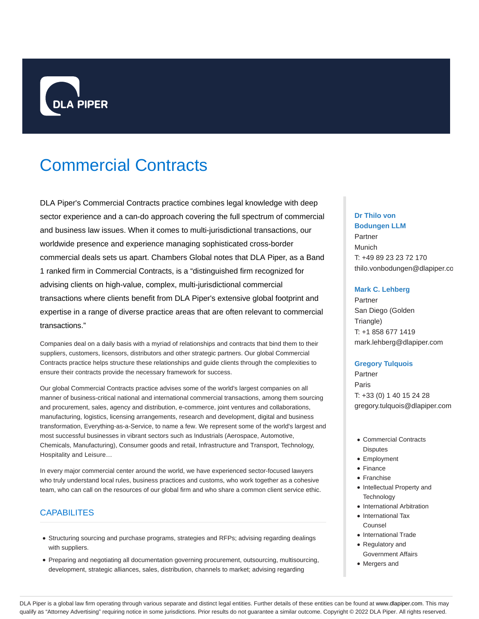

# Commercial Contracts

DLA Piper's Commercial Contracts practice combines legal knowledge with deep sector experience and a can-do approach covering the full spectrum of commercial and business law issues. When it comes to multi-jurisdictional transactions, our worldwide presence and experience managing sophisticated cross-border commercial deals sets us apart. Chambers Global notes that DLA Piper, as a Band 1 ranked firm in Commercial Contracts, is a "distinguished firm recognized for advising clients on high-value, complex, multi-jurisdictional commercial transactions where clients benefit from DLA Piper's extensive global footprint and expertise in a range of diverse practice areas that are often relevant to commercial transactions."

Companies deal on a daily basis with a myriad of relationships and contracts that bind them to their suppliers, customers, licensors, distributors and other strategic partners. Our global Commercial Contracts practice helps structure these relationships and guide clients through the complexities to ensure their contracts provide the necessary framework for success.

Our global Commercial Contracts practice advises some of the world's largest companies on all manner of business-critical national and international commercial transactions, among them sourcing and procurement, sales, agency and distribution, e-commerce, joint ventures and collaborations, manufacturing, logistics, licensing arrangements, research and development, digital and business transformation, Everything-as-a-Service, to name a few. We represent some of the world's largest and most successful businesses in vibrant sectors such as Industrials (Aerospace, Automotive, Chemicals, Manufacturing), Consumer goods and retail, Infrastructure and Transport, Technology, Hospitality and Leisure…

In every major commercial center around the world, we have experienced sector-focused lawyers who truly understand local rules, business practices and customs, who work together as a cohesive team, who can call on the resources of our global firm and who share a common client service ethic.

## **CAPABILITES**

- Structuring sourcing and purchase programs, strategies and RFPs; advising regarding dealings with suppliers.
- Preparing and negotiating all documentation governing procurement, outsourcing, multisourcing, development, strategic alliances, sales, distribution, channels to market; advising regarding

# **Dr Thilo von Bodungen LLM** Partner Munich T: +49 89 23 23 72 170 thilo.vonbodungen@dlapiper.com

#### **Mark C. Lehberg**

Partner San Diego (Golden Triangle) T: +1 858 677 1419 mark.lehberg@dlapiper.com

#### **Gregory Tulquois**

Partner Paris T: +33 (0) 1 40 15 24 28 gregory.tulquois@dlapiper.com

- Commercial Contracts **Disputes**
- Employment
- Finance
- Franchise
- Intellectual Property and **Technology**
- International Arbitration
- International Tax Counsel
- International Trade
- Regulatory and
- Government Affairs
- Mergers and

DLA Piper is a global law firm operating through various separate and distinct legal entities. Further details of these entities can be found at www.dlapiper.com. This may qualify as "Attorney Advertising" requiring notice in some jurisdictions. Prior results do not guarantee a similar outcome. Copyright © 2022 DLA Piper. All rights reserved.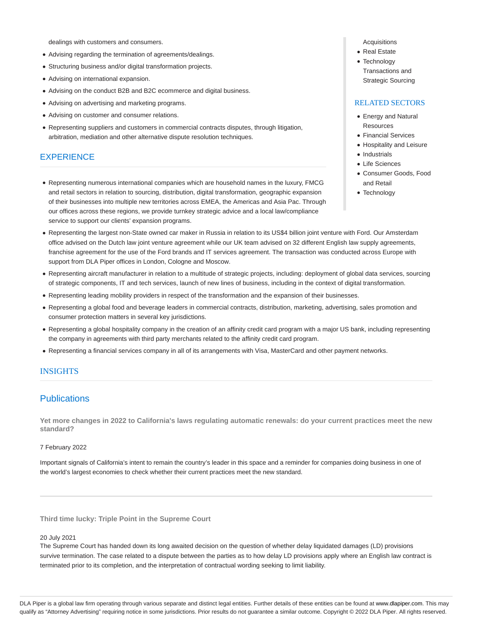dealings with customers and consumers.

- Advising regarding the termination of agreements/dealings.
- Structuring business and/or digital transformation projects.
- Advising on international expansion.
- Advising on the conduct B2B and B2C ecommerce and digital business.
- Advising on advertising and marketing programs.
- Advising on customer and consumer relations.
- Representing suppliers and customers in commercial contracts disputes, through litigation, arbitration, mediation and other alternative dispute resolution techniques.

#### **EXPERIENCE**

- Acquisitions
- Real Estate
- Technology Transactions and
- Strategic Sourcing

#### RELATED SECTORS

- Energy and Natural **Resources**
- Financial Services
- Hospitality and Leisure
- Industrials
- Life Sciences
- Consumer Goods, Food and Retail
- Technology
- Representing numerous international companies which are household names in the luxury, FMCG and retail sectors in relation to sourcing, distribution, digital transformation, geographic expansion of their businesses into multiple new territories across EMEA, the Americas and Asia Pac. Through our offices across these regions, we provide turnkey strategic advice and a local law/compliance service to support our clients' expansion programs.
- Representing the largest non-State owned car maker in Russia in relation to its US\$4 billion joint venture with Ford. Our Amsterdam office advised on the Dutch law joint venture agreement while our UK team advised on 32 different English law supply agreements, franchise agreement for the use of the Ford brands and IT services agreement. The transaction was conducted across Europe with support from DLA Piper offices in London, Cologne and Moscow.
- Representing aircraft manufacturer in relation to a multitude of strategic projects, including: deployment of global data services, sourcing of strategic components, IT and tech services, launch of new lines of business, including in the context of digital transformation.
- Representing leading mobility providers in respect of the transformation and the expansion of their businesses.
- Representing a global food and beverage leaders in commercial contracts, distribution, marketing, advertising, sales promotion and consumer protection matters in several key jurisdictions.
- Representing a global hospitality company in the creation of an affinity credit card program with a major US bank, including representing the company in agreements with third party merchants related to the affinity credit card program.
- Representing a financial services company in all of its arrangements with Visa, MasterCard and other payment networks.

## INSIGHTS

## **Publications**

**Yet more changes in 2022 to California's laws regulating automatic renewals: do your current practices meet the new standard?**

#### 7 February 2022

Important signals of California's intent to remain the country's leader in this space and a reminder for companies doing business in one of the world's largest economies to check whether their current practices meet the new standard.

**Third time lucky: Triple Point in the Supreme Court**

#### 20 July 2021

The Supreme Court has handed down its long awaited decision on the question of whether delay liquidated damages (LD) provisions survive termination. The case related to a dispute between the parties as to how delay LD provisions apply where an English law contract is terminated prior to its completion, and the interpretation of contractual wording seeking to limit liability.

DLA Piper is a global law firm operating through various separate and distinct legal entities. Further details of these entities can be found at www.dlapiper.com. This may qualify as "Attorney Advertising" requiring notice in some jurisdictions. Prior results do not guarantee a similar outcome. Copyright @ 2022 DLA Piper. All rights reserved.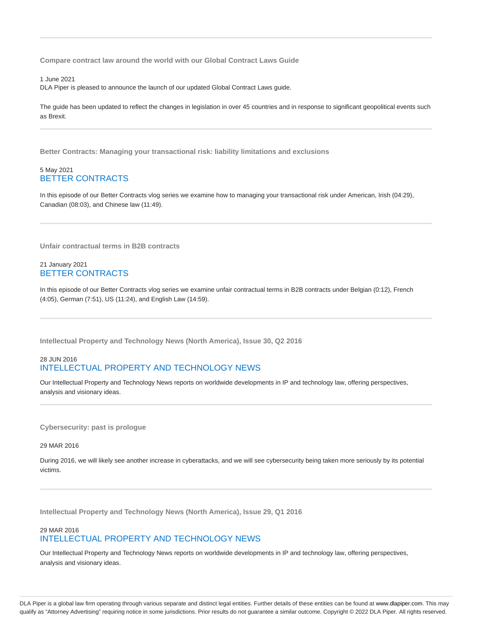**Compare contract law around the world with our Global Contract Laws Guide**

1 June 2021 DLA Piper is pleased to announce the launch of our updated Global Contract Laws guide.

The guide has been updated to reflect the changes in legislation in over 45 countries and in response to significant geopolitical events such as Brexit.

**Better Contracts: Managing your transactional risk: liability limitations and exclusions**

#### 5 May 2021 BETTER CONTRACTS

In this episode of our Better Contracts vlog series we examine how to managing your transactional risk under American, Irish (04:29), Canadian (08:03), and Chinese law (11:49).

**Unfair contractual terms in B2B contracts**

## 21 January 2021 BETTER CONTRACTS

In this episode of our Better Contracts vlog series we examine unfair contractual terms in B2B contracts under Belgian (0:12), French (4:05), German (7:51), US (11:24), and English Law (14:59).

**Intellectual Property and Technology News (North America), Issue 30, Q2 2016**

## 28 JUN 2016 INTELLECTUAL PROPERTY AND TECHNOLOGY NEWS

Our Intellectual Property and Technology News reports on worldwide developments in IP and technology law, offering perspectives, analysis and visionary ideas.

**Cybersecurity: past is prologue**

29 MAR 2016

During 2016, we will likely see another increase in cyberattacks, and we will see cybersecurity being taken more seriously by its potential victims.

**Intellectual Property and Technology News (North America), Issue 29, Q1 2016**

#### 29 MAR 2016 INTELLECTUAL PROPERTY AND TECHNOLOGY NEWS

Our Intellectual Property and Technology News reports on worldwide developments in IP and technology law, offering perspectives, analysis and visionary ideas.

DLA Piper is a global law firm operating through various separate and distinct legal entities. Further details of these entities can be found at www.dlapiper.com. This may qualify as "Attorney Advertising" requiring notice in some jurisdictions. Prior results do not guarantee a similar outcome. Copyright @ 2022 DLA Piper. All rights reserved.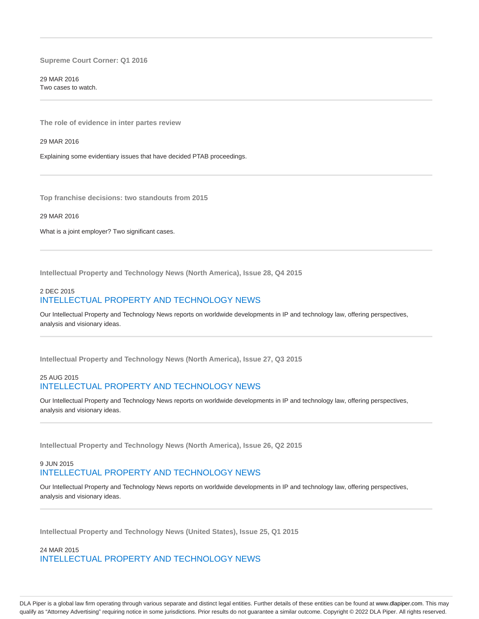**Supreme Court Corner: Q1 2016**

29 MAR 2016 Two cases to watch.

**The role of evidence in inter partes review**

29 MAR 2016

Explaining some evidentiary issues that have decided PTAB proceedings.

**Top franchise decisions: two standouts from 2015**

29 MAR 2016

What is a joint employer? Two significant cases.

**Intellectual Property and Technology News (North America), Issue 28, Q4 2015**

## 2 DEC 2015 INTELLECTUAL PROPERTY AND TECHNOLOGY NEWS

Our Intellectual Property and Technology News reports on worldwide developments in IP and technology law, offering perspectives, analysis and visionary ideas.

**Intellectual Property and Technology News (North America), Issue 27, Q3 2015**

## 25 AUG 2015 INTELLECTUAL PROPERTY AND TECHNOLOGY NEWS

Our Intellectual Property and Technology News reports on worldwide developments in IP and technology law, offering perspectives, analysis and visionary ideas.

**Intellectual Property and Technology News (North America), Issue 26, Q2 2015**

# 9 JUN 2015 INTELLECTUAL PROPERTY AND TECHNOLOGY NEWS

Our Intellectual Property and Technology News reports on worldwide developments in IP and technology law, offering perspectives, analysis and visionary ideas.

**Intellectual Property and Technology News (United States), Issue 25, Q1 2015**

24 MAR 2015 INTELLECTUAL PROPERTY AND TECHNOLOGY NEWS

DLA Piper is a global law firm operating through various separate and distinct legal entities. Further details of these entities can be found at www.dlapiper.com. This may qualify as "Attorney Advertising" requiring notice in some jurisdictions. Prior results do not guarantee a similar outcome. Copyright @ 2022 DLA Piper. All rights reserved.